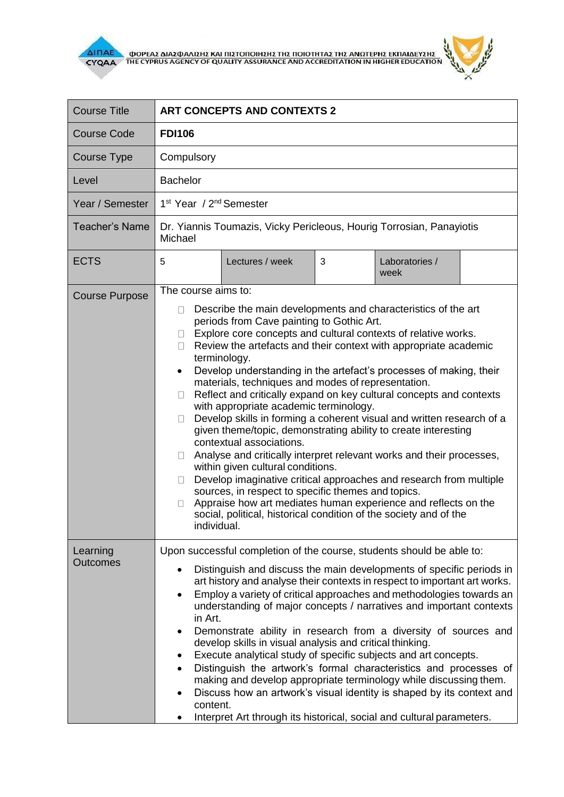



| <b>Course Title</b>         | <b>ART CONCEPTS AND CONTEXTS 2</b>                                                                                                                                                                                                                                                                                                                                                                                                                                                                                                                                                                                                                                                                                                                                                                                                                                                                                                                                                                                                                                                                                                                                                    |  |  |
|-----------------------------|---------------------------------------------------------------------------------------------------------------------------------------------------------------------------------------------------------------------------------------------------------------------------------------------------------------------------------------------------------------------------------------------------------------------------------------------------------------------------------------------------------------------------------------------------------------------------------------------------------------------------------------------------------------------------------------------------------------------------------------------------------------------------------------------------------------------------------------------------------------------------------------------------------------------------------------------------------------------------------------------------------------------------------------------------------------------------------------------------------------------------------------------------------------------------------------|--|--|
| <b>Course Code</b>          | <b>FDI106</b>                                                                                                                                                                                                                                                                                                                                                                                                                                                                                                                                                                                                                                                                                                                                                                                                                                                                                                                                                                                                                                                                                                                                                                         |  |  |
| Course Type                 | Compulsory                                                                                                                                                                                                                                                                                                                                                                                                                                                                                                                                                                                                                                                                                                                                                                                                                                                                                                                                                                                                                                                                                                                                                                            |  |  |
| Level                       | <b>Bachelor</b>                                                                                                                                                                                                                                                                                                                                                                                                                                                                                                                                                                                                                                                                                                                                                                                                                                                                                                                                                                                                                                                                                                                                                                       |  |  |
| Year / Semester             | 1 <sup>st</sup> Year / 2 <sup>nd</sup> Semester                                                                                                                                                                                                                                                                                                                                                                                                                                                                                                                                                                                                                                                                                                                                                                                                                                                                                                                                                                                                                                                                                                                                       |  |  |
| <b>Teacher's Name</b>       | Dr. Yiannis Toumazis, Vicky Pericleous, Hourig Torrosian, Panayiotis<br>Michael                                                                                                                                                                                                                                                                                                                                                                                                                                                                                                                                                                                                                                                                                                                                                                                                                                                                                                                                                                                                                                                                                                       |  |  |
| <b>ECTS</b>                 | 5<br>Lectures / week<br>3<br>Laboratories /<br>week                                                                                                                                                                                                                                                                                                                                                                                                                                                                                                                                                                                                                                                                                                                                                                                                                                                                                                                                                                                                                                                                                                                                   |  |  |
| <b>Course Purpose</b>       | The course aims to:<br>Describe the main developments and characteristics of the art<br>$\Box$<br>periods from Cave painting to Gothic Art.<br>Explore core concepts and cultural contexts of relative works.<br>$\perp$<br>Review the artefacts and their context with appropriate academic<br>$\perp$<br>terminology.<br>Develop understanding in the artefact's processes of making, their<br>$\bullet$<br>materials, techniques and modes of representation.<br>Reflect and critically expand on key cultural concepts and contexts<br>П<br>with appropriate academic terminology.<br>Develop skills in forming a coherent visual and written research of a<br>Ш<br>given theme/topic, demonstrating ability to create interesting<br>contextual associations.<br>Analyse and critically interpret relevant works and their processes,<br>$\Box$<br>within given cultural conditions.<br>Develop imaginative critical approaches and research from multiple<br>П<br>sources, in respect to specific themes and topics.<br>Appraise how art mediates human experience and reflects on the<br>П<br>social, political, historical condition of the society and of the<br>individual. |  |  |
| Learning<br><b>Outcomes</b> | Upon successful completion of the course, students should be able to:<br>Distinguish and discuss the main developments of specific periods in<br>art history and analyse their contexts in respect to important art works.<br>Employ a variety of critical approaches and methodologies towards an<br>$\bullet$<br>understanding of major concepts / narratives and important contexts<br>in Art.<br>Demonstrate ability in research from a diversity of sources and<br>$\bullet$<br>develop skills in visual analysis and critical thinking.<br>Execute analytical study of specific subjects and art concepts.<br>٠<br>Distinguish the artwork's formal characteristics and processes of<br>$\bullet$<br>making and develop appropriate terminology while discussing them.<br>Discuss how an artwork's visual identity is shaped by its context and<br>٠<br>content.<br>Interpret Art through its historical, social and cultural parameters.<br>٠                                                                                                                                                                                                                                  |  |  |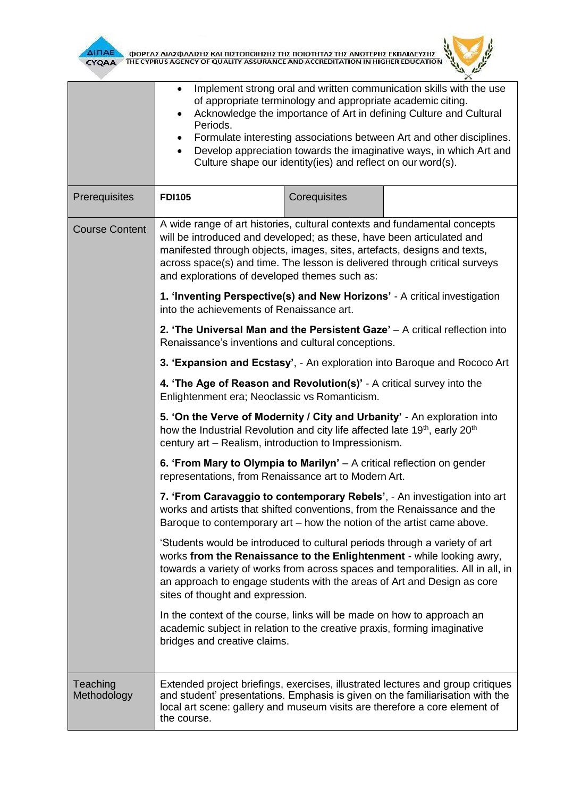



|                         | Implement strong oral and written communication skills with the use<br>$\bullet$<br>of appropriate terminology and appropriate academic citing.<br>Acknowledge the importance of Art in defining Culture and Cultural<br>$\bullet$<br>Periods.<br>Formulate interesting associations between Art and other disciplines.<br>$\bullet$<br>Develop appreciation towards the imaginative ways, in which Art and<br>$\bullet$<br>Culture shape our identity(ies) and reflect on our word(s). |                                                                                                                                                                                                                                                                                                                   |  |  |
|-------------------------|-----------------------------------------------------------------------------------------------------------------------------------------------------------------------------------------------------------------------------------------------------------------------------------------------------------------------------------------------------------------------------------------------------------------------------------------------------------------------------------------|-------------------------------------------------------------------------------------------------------------------------------------------------------------------------------------------------------------------------------------------------------------------------------------------------------------------|--|--|
| Prerequisites           | <b>FDI105</b>                                                                                                                                                                                                                                                                                                                                                                                                                                                                           | Corequisites                                                                                                                                                                                                                                                                                                      |  |  |
| <b>Course Content</b>   | A wide range of art histories, cultural contexts and fundamental concepts<br>will be introduced and developed; as these, have been articulated and<br>manifested through objects, images, sites, artefacts, designs and texts,<br>across space(s) and time. The lesson is delivered through critical surveys<br>and explorations of developed themes such as:<br>1. 'Inventing Perspective(s) and New Horizons' - A critical investigation                                              |                                                                                                                                                                                                                                                                                                                   |  |  |
|                         | into the achievements of Renaissance art.                                                                                                                                                                                                                                                                                                                                                                                                                                               |                                                                                                                                                                                                                                                                                                                   |  |  |
|                         | 2. 'The Universal Man and the Persistent Gaze' $-$ A critical reflection into<br>Renaissance's inventions and cultural conceptions.                                                                                                                                                                                                                                                                                                                                                     |                                                                                                                                                                                                                                                                                                                   |  |  |
|                         |                                                                                                                                                                                                                                                                                                                                                                                                                                                                                         | 3. 'Expansion and Ecstasy', - An exploration into Baroque and Rococo Art                                                                                                                                                                                                                                          |  |  |
|                         | 4. 'The Age of Reason and Revolution(s)' - A critical survey into the<br>Enlightenment era; Neoclassic vs Romanticism.                                                                                                                                                                                                                                                                                                                                                                  |                                                                                                                                                                                                                                                                                                                   |  |  |
|                         | 5. 'On the Verve of Modernity / City and Urbanity' - An exploration into<br>how the Industrial Revolution and city life affected late 19 <sup>th</sup> , early 20 <sup>th</sup><br>century art - Realism, introduction to Impressionism.                                                                                                                                                                                                                                                |                                                                                                                                                                                                                                                                                                                   |  |  |
|                         | 6. 'From Mary to Olympia to Marilyn' $-$ A critical reflection on gender<br>representations, from Renaissance art to Modern Art.                                                                                                                                                                                                                                                                                                                                                        |                                                                                                                                                                                                                                                                                                                   |  |  |
|                         |                                                                                                                                                                                                                                                                                                                                                                                                                                                                                         | 7. 'From Caravaggio to contemporary Rebels', - An investigation into art<br>works and artists that shifted conventions, from the Renaissance and the<br>Baroque to contemporary art – how the notion of the artist came above.                                                                                    |  |  |
|                         | sites of thought and expression.                                                                                                                                                                                                                                                                                                                                                                                                                                                        | 'Students would be introduced to cultural periods through a variety of art<br>works from the Renaissance to the Enlightenment - while looking awry,<br>towards a variety of works from across spaces and temporalities. All in all, in<br>an approach to engage students with the areas of Art and Design as core |  |  |
|                         | bridges and creative claims.                                                                                                                                                                                                                                                                                                                                                                                                                                                            | In the context of the course, links will be made on how to approach an<br>academic subject in relation to the creative praxis, forming imaginative                                                                                                                                                                |  |  |
| Teaching<br>Methodology | the course.                                                                                                                                                                                                                                                                                                                                                                                                                                                                             | Extended project briefings, exercises, illustrated lectures and group critiques<br>and student' presentations. Emphasis is given on the familiarisation with the<br>local art scene: gallery and museum visits are therefore a core element of                                                                    |  |  |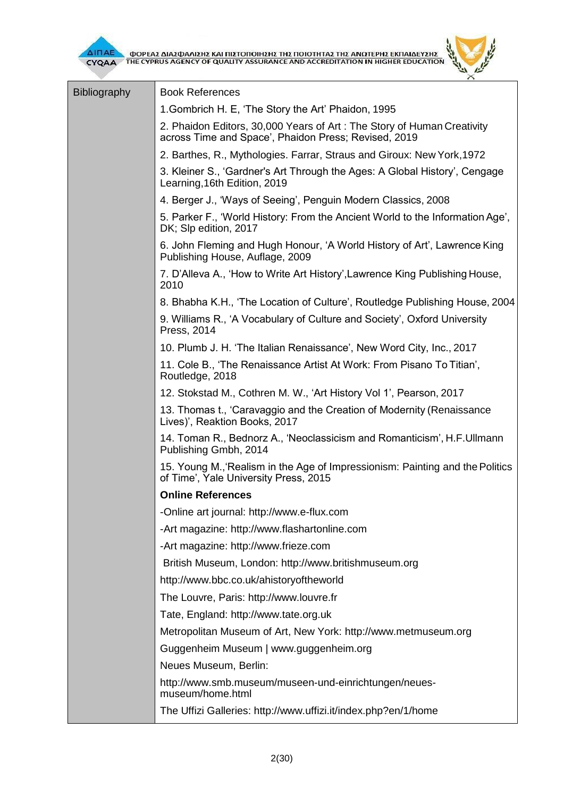| ΔΙΠΑΕ<br>ΦΟΡΕΑΣ ΔΙΑΣΦΑΛΙΣΗΣ ΚΑΙ ΠΙΣΤΟΠΟΙΗΣΗΣ ΤΗΣ ΠΟΙΟΤΗΤΑΣ ΤΗΣ ΑΝΩΤΕΡΗΣ ΕΚΠΑΙΔΕΥΣΗΣ<br>ΤΗΕ CYPRUS AGENCY OF QUALITY ASSURANCE AND ACCREDITATION IN HIGHER EDUCATION<br><b>CYQAA</b> |                                                                                                                                |  |
|-------------------------------------------------------------------------------------------------------------------------------------------------------------------------------------|--------------------------------------------------------------------------------------------------------------------------------|--|
| <b>Bibliography</b>                                                                                                                                                                 | <b>Book References</b>                                                                                                         |  |
|                                                                                                                                                                                     | 1. Gombrich H. E, 'The Story the Art' Phaidon, 1995                                                                            |  |
|                                                                                                                                                                                     | 2. Phaidon Editors, 30,000 Years of Art: The Story of Human Creativity<br>across Time and Space', Phaidon Press; Revised, 2019 |  |
|                                                                                                                                                                                     | 2. Barthes, R., Mythologies. Farrar, Straus and Giroux: New York, 1972                                                         |  |
|                                                                                                                                                                                     | 3. Kleiner S., 'Gardner's Art Through the Ages: A Global History', Cengage<br>Learning, 16th Edition, 2019                     |  |
|                                                                                                                                                                                     | 4. Berger J., 'Ways of Seeing', Penguin Modern Classics, 2008                                                                  |  |
|                                                                                                                                                                                     | 5. Parker F., 'World History: From the Ancient World to the Information Age',<br>DK; Slp edition, 2017                         |  |
|                                                                                                                                                                                     | 6. John Fleming and Hugh Honour, 'A World History of Art', Lawrence King<br>Publishing House, Auflage, 2009                    |  |
|                                                                                                                                                                                     | 7. D'Alleva A., 'How to Write Art History', Lawrence King Publishing House,<br>2010                                            |  |
|                                                                                                                                                                                     | 8. Bhabha K.H., 'The Location of Culture', Routledge Publishing House, 2004                                                    |  |
|                                                                                                                                                                                     | 9. Williams R., 'A Vocabulary of Culture and Society', Oxford University<br>Press, 2014                                        |  |
|                                                                                                                                                                                     | 10. Plumb J. H. 'The Italian Renaissance', New Word City, Inc., 2017                                                           |  |
|                                                                                                                                                                                     | 11. Cole B., 'The Renaissance Artist At Work: From Pisano To Titian',<br>Routledge, 2018                                       |  |
|                                                                                                                                                                                     | 12. Stokstad M., Cothren M. W., 'Art History Vol 1', Pearson, 2017                                                             |  |
|                                                                                                                                                                                     | 13. Thomas t., 'Caravaggio and the Creation of Modernity (Renaissance<br>Lives)', Reaktion Books, 2017                         |  |
|                                                                                                                                                                                     | 14. Toman R., Bednorz A., 'Neoclassicism and Romanticism', H.F.Ullmann<br>Publishing Gmbh, 2014                                |  |
|                                                                                                                                                                                     | 15. Young M., Realism in the Age of Impressionism: Painting and the Politics<br>of Time', Yale University Press, 2015          |  |
|                                                                                                                                                                                     | <b>Online References</b>                                                                                                       |  |
|                                                                                                                                                                                     | -Online art journal: http://www.e-flux.com                                                                                     |  |
|                                                                                                                                                                                     | -Art magazine: http://www.flashartonline.com                                                                                   |  |
|                                                                                                                                                                                     | -Art magazine: http://www.frieze.com                                                                                           |  |
|                                                                                                                                                                                     | British Museum, London: http://www.britishmuseum.org                                                                           |  |
|                                                                                                                                                                                     | http://www.bbc.co.uk/ahistoryoftheworld                                                                                        |  |
|                                                                                                                                                                                     | The Louvre, Paris: http://www.louvre.fr                                                                                        |  |
|                                                                                                                                                                                     | Tate, England: http://www.tate.org.uk                                                                                          |  |
|                                                                                                                                                                                     | Metropolitan Museum of Art, New York: http://www.metmuseum.org                                                                 |  |
|                                                                                                                                                                                     | Guggenheim Museum   www.guggenheim.org                                                                                         |  |
|                                                                                                                                                                                     | Neues Museum, Berlin:                                                                                                          |  |
|                                                                                                                                                                                     | http://www.smb.museum/museen-und-einrichtungen/neues-<br>museum/home.html                                                      |  |
|                                                                                                                                                                                     | The Uffizi Galleries: http://www.uffizi.it/index.php?en/1/home                                                                 |  |